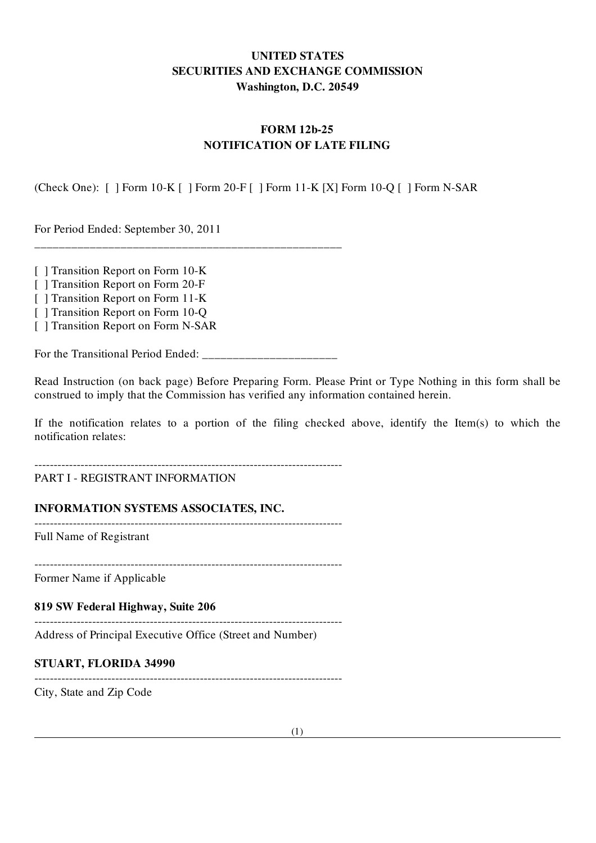# UNITED STATES SECURITIES AND EXCHANGE COMMISSION Washington, D.C. 20549

# FORM 12b-25 NOTIFICATION OF LATE FILING

(Check One): [ ] Form 10-K [ ] Form 20-F [ ] Form 11-K [X] Form 10-Q [ ] Form N-SAR

For Period Ended: September 30, 2011

[ ] Transition Report on Form 10-K

[ ] Transition Report on Form 20-F [ ] Transition Report on Form 11-K

[ ] Transition Report on Form 10-O

[ ] Transition Report on Form N-SAR

For the Transitional Period Ended:

\_\_\_\_\_\_\_\_\_\_\_\_\_\_\_\_\_\_\_\_\_\_\_\_\_\_\_\_\_\_\_\_\_\_\_\_\_\_\_\_\_\_\_\_\_\_\_\_\_\_

Read Instruction (on back page) Before Preparing Form. Please Print or Type Nothing in this form shall be construed to imply that the Commission has verified any information contained herein.

If the notification relates to a portion of the filing checked above, identify the Item(s) to which the notification relates:

--------------------------------------------------------------------------------

# PART I - REGISTRANT INFORMATION

# INFORMATION SYSTEMS ASSOCIATES, INC.

Full Name of Registrant

--------------------------------------------------------------------------------

--------------------------------------------------------------------------------

Former Name if Applicable

819 SW Federal Highway, Suite 206

Address of Principal Executive Office (Street and Number)

#### STUART, FLORIDA 34990

--------------------------------------------------------------------------------

--------------------------------------------------------------------------------

City, State and Zip Code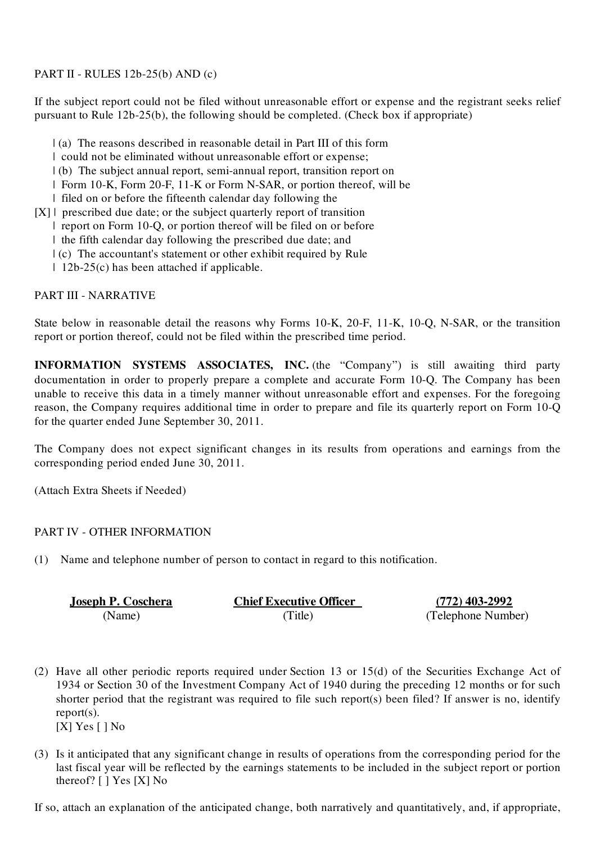PART II - RULES 12b-25(b) AND (c)

If the subject report could not be filed without unreasonable effort or expense and the registrant seeks relief pursuant to Rule 12b-25(b), the following should be completed. (Check box if appropriate)

- | (a) The reasons described in reasonable detail in Part III of this form
- | could not be eliminated without unreasonable effort or expense;
- | (b) The subject annual report, semi-annual report, transition report on
- | Form 10-K, Form 20-F, 11-K or Form N-SAR, or portion thereof, will be
- | filed on or before the fifteenth calendar day following the
- [X] | prescribed due date; or the subject quarterly report of transition
	- | report on Form 10-Q, or portion thereof will be filed on or before
	- | the fifth calendar day following the prescribed due date; and
	- | (c) The accountant's statement or other exhibit required by Rule
	- | 12b-25(c) has been attached if applicable.

# PART III - NARRATIVE

State below in reasonable detail the reasons why Forms 10-K, 20-F, 11-K, 10-Q, N-SAR, or the transition report or portion thereof, could not be filed within the prescribed time period.

INFORMATION SYSTEMS ASSOCIATES, INC. (the "Company") is still awaiting third party documentation in order to properly prepare a complete and accurate Form 10-Q. The Company has been unable to receive this data in a timely manner without unreasonable effort and expenses. For the foregoing reason, the Company requires additional time in order to prepare and file its quarterly report on Form 10-Q for the quarter ended June September 30, 2011.

The Company does not expect significant changes in its results from operations and earnings from the corresponding period ended June 30, 2011.

(Attach Extra Sheets if Needed)

# PART IV - OTHER INFORMATION

(1) Name and telephone number of person to contact in regard to this notification.

| <b>Joseph P. Coschera</b> | <b>Chief Executive Officer</b> | $(772)$ 403-2992   |
|---------------------------|--------------------------------|--------------------|
| (Name)                    | (Title)                        | (Telephone Number) |

- (2) Have all other periodic reports required under Section 13 or 15(d) of the Securities Exchange Act of 1934 or Section 30 of the Investment Company Act of 1940 during the preceding 12 months or for such shorter period that the registrant was required to file such report(s) been filed? If answer is no, identify report(s).
	- [X] Yes [ ] No
- (3) Is it anticipated that any significant change in results of operations from the corresponding period for the last fiscal year will be reflected by the earnings statements to be included in the subject report or portion thereof? [ ] Yes [X] No

If so, attach an explanation of the anticipated change, both narratively and quantitatively, and, if appropriate,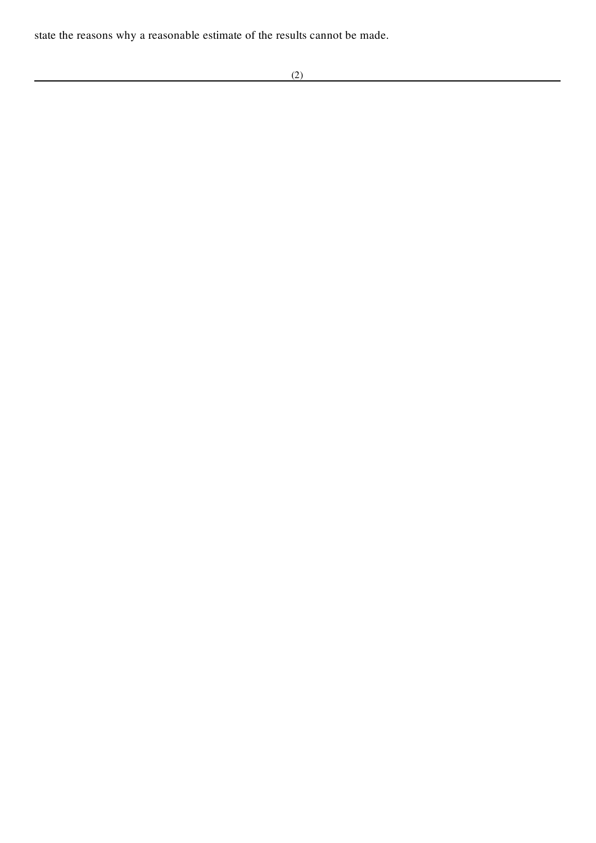state the reasons why a reasonable estimate of the results cannot be made.

<u> 1980 - Johann Barn, mars ann an t-Amhain Aonaich an t-Aonaich an t-Aonaich ann an t-Aonaich ann an t-Aonaich</u>